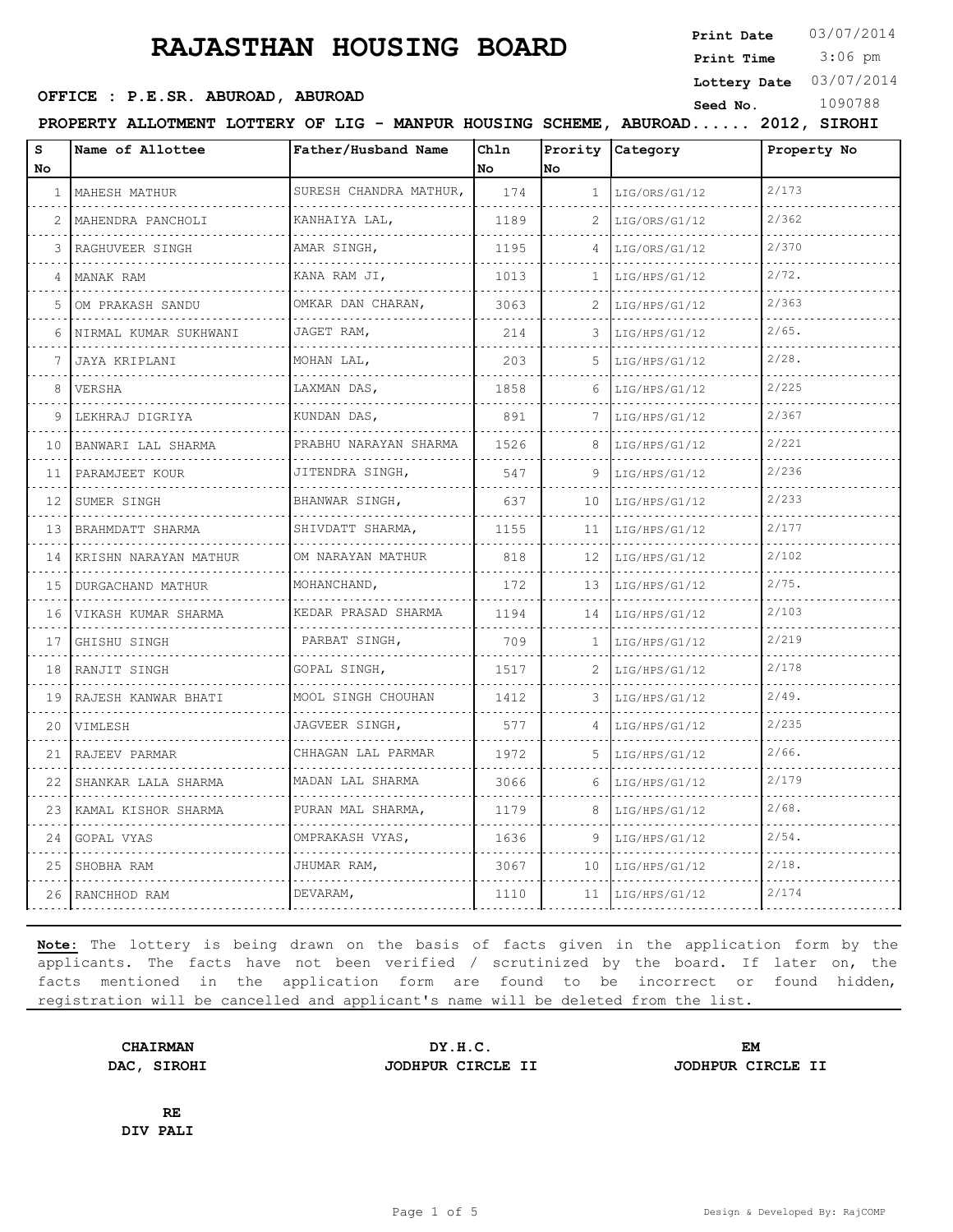**Print Date**  $03/07/2014$ 

 3:06 pm **Print Time**

**Lottery Date** 03/07/2014

## **SEED OFFICE : P.E.SR. ABUROAD, ABUROAD Seed No.** 1090788

**PROPERTY ALLOTMENT LOTTERY OF LIG - MANPUR HOUSING SCHEME, ABUROAD...... 2012, SIROHI**

| S<br>No      | Name of Allottee       | Father/Husband Name         | Chln<br>No | No           | Prority Category | Property No |
|--------------|------------------------|-----------------------------|------------|--------------|------------------|-------------|
| $\mathbf{1}$ | MAHESH MATHUR<br>.     | SURESH CHANDRA MATHUR,<br>. | 174        | $\mathbf{1}$ | LIG/ORS/G1/12    | 2/173       |
| 2            | MAHENDRA PANCHOLI      | KANHAIYA LAL,               | 1189       | 2            | LIG/ORS/G1/12    | 2/362       |
| 3            | RAGHUVEER SINGH        | AMAR SINGH,                 | 1195       |              | LIG/ORS/G1/12    | 2/370       |
| 4            | MANAK RAM              | KANA RAM JI,<br>.           | 1013       | 1            | LIG/HPS/G1/12    | 2/72.       |
| 5            | .<br>OM PRAKASH SANDU  | OMKAR DAN CHARAN,<br>.      | 3063       | 2            | LIG/HPS/G1/12    | 2/363       |
| 6            | NIRMAL KUMAR SUKHWANI  | JAGET RAM,                  | 214        | 3            | LIG/HPS/G1/12    | $2/65$ .    |
|              | JAYA KRIPLANI          | MOHAN LAL,<br>.             | 203        | 5            | LIG/HPS/G1/12    | 2/28.       |
| 8            | VERSHA                 | LAXMAN DAS,                 | 1858       | 6            | LIG/HPS/G1/12    | 2/225       |
| 9            | LEKHRAJ DIGRIYA        | KUNDAN DAS,                 | 891        | 7            | LIG/HPS/G1/12    | 2/367       |
| 10           | BANWARI LAL SHARMA     | PRABHU NARAYAN SHARMA<br>.  | 1526       | 8            | LIG/HPS/G1/12    | 2/221       |
| 11           | PARAMJEET KOUR         | JITENDRA SINGH,<br>.        | 547        | 9            | LIG/HPS/G1/12    | 2/236       |
| 12           | SUMER SINGH            | BHANWAR SINGH,              | 637        | 10           | LIG/HPS/G1/12    | 2/233       |
| 13           | BRAHMDATT SHARMA       | SHIVDATT SHARMA,            | 1155       | 11           | LIG/HPS/G1/12    | 2/177       |
| 14           | KRISHN NARAYAN MATHUR  | OM NARAYAN MATHUR           | 818        | 12           | LIG/HPS/G1/12    | 2/102       |
| 15           | DURGACHAND MATHUR<br>. | MOHANCHAND,                 | 172        | 13           | LIG/HPS/G1/12    | 2/75.       |
| 16           | VIKASH KUMAR SHARMA    | KEDAR PRASAD SHARMA         | 1194       | 14           | LIG/HPS/G1/12    | 2/103       |
| 17           | GHISHU SINGH           | PARBAT SINGH,               | 709        | 1            | LIG/HPS/G1/12    | 2/219       |
| 18           | RANJIT SINGH           | GOPAL SINGH,                | 1517       | 2            | LIG/HPS/G1/12    | 2/178       |
| 19           | RAJESH KANWAR BHATI    | MOOL SINGH CHOUHAN          | 1412       | 3            | LIG/HPS/G1/12    | 2/49.       |
| 20           | VIMLESH                | JAGVEER SINGH,              | 577        |              | LIG/HPS/G1/12    | 2/235       |
| 21           | RAJEEV PARMAR          | CHHAGAN LAL PARMAR<br>.     | 1972       | .5.          | LIG/HPS/G1/12    | $2/66$ .    |
| 22           | SHANKAR LALA SHARMA    | MADAN LAL SHARMA            | 3066       | 6            | LIG/HPS/G1/12    | 2/179       |
| 23           | KAMAL KISHOR SHARMA    | PURAN MAL SHARMA,           | 1179       | 8            | LIG/HPS/G1/12    | 2/68.       |
| 24           | GOPAL VYAS             | OMPRAKASH VYAS,             | 1636       | 9            | LIG/HPS/G1/12    | $2/54$ .    |
| 25           | SHOBHA RAM             | JHUMAR RAM,                 | 3067       | 10           | LIG/HPS/G1/12    | $2/18$ .    |
|              | 26 RANCHHOD RAM        | DEVARAM,                    | 1110       | 11           | LIG/HPS/G1/12    | 2/174       |

**Note:** The lottery is being drawn on the basis of facts given in the application form by the applicants. The facts have not been verified / scrutinized by the board. If later on, the facts mentioned in the application form are found to be incorrect or found hidden, registration will be cancelled and applicant's name will be deleted from the list.

**DAC, SIROHI JODHPUR CIRCLE II JODHPUR CIRCLE II**

**CHAIRMAN DY.H.C. EM**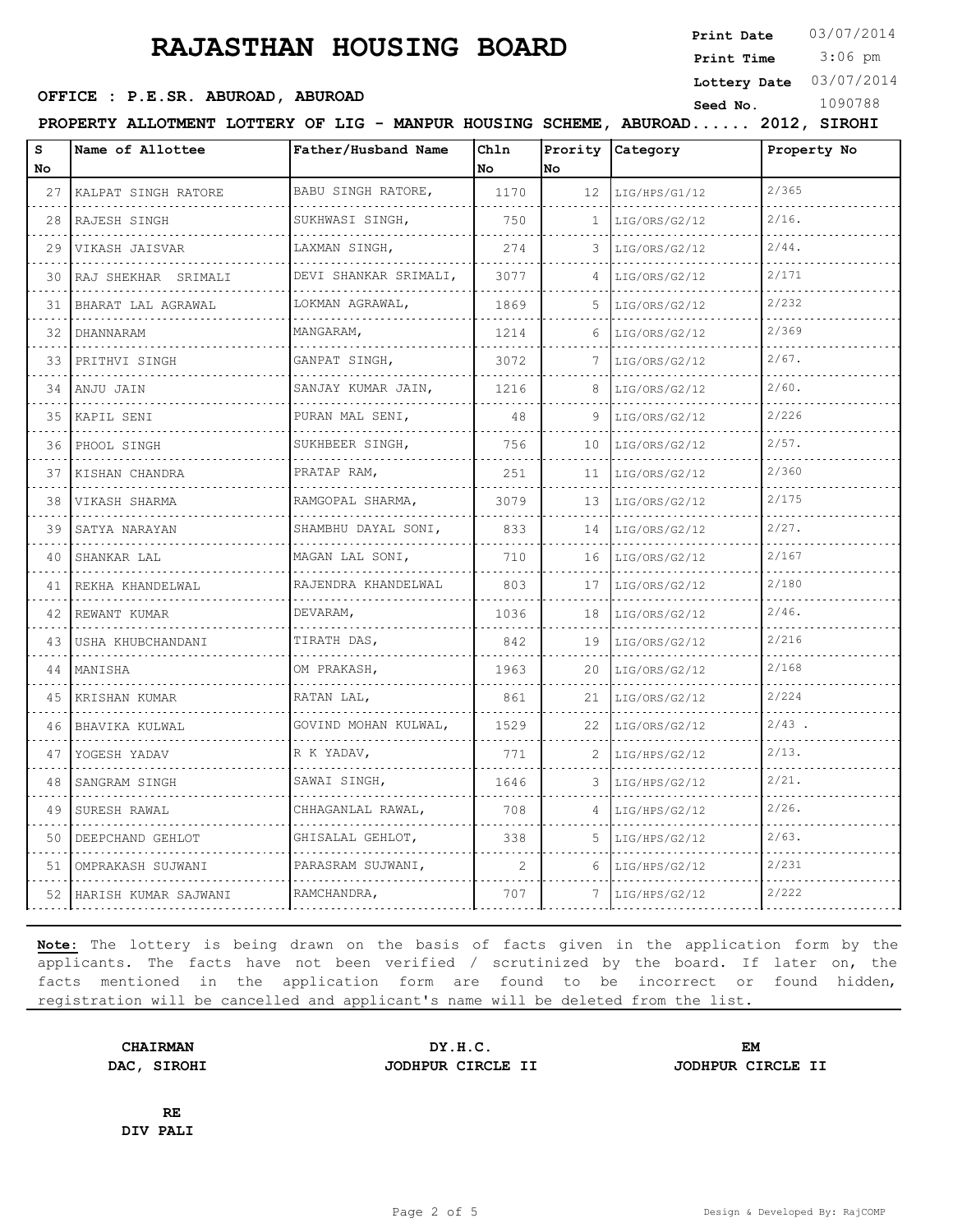**Print Date**  $03/07/2014$ 

 3:06 pm **Print Time**

**Lottery Date** 03/07/2014

**OFFICE : P.E.SR. ABUROAD, ABUROAD Seed No.** 1090788

|         | PROPERTY ALLOTMENT LOTTERY OF LIG - MANPUR HOUSING SCHEME, ABUROAD 2012, SIROHI |                          |            |              |                             |             |
|---------|---------------------------------------------------------------------------------|--------------------------|------------|--------------|-----------------------------|-------------|
| s<br>No | Name of Allottee                                                                | Father/Husband Name      | Chln<br>No | No           | Prority Category            | Property No |
|         | 27 KALPAT SINGH RATORE                                                          | BABU SINGH RATORE,       | 1170       |              | $12$  LIG/HPS/G1/12         | 2/365       |
| 28      | RAJESH SINGH                                                                    | SUKHWASI SINGH,          | 750        | $\mathbf{1}$ | LIG/ORS/G2/12               | $2/16$ .    |
| 29      | VIKASH JAISVAR                                                                  | LAXMAN SINGH,            | 274        | 3            | LIG/ORS/G2/12               | $2/44$ .    |
| 30      | RAJ SHEKHAR SRIMALI                                                             | DEVI SHANKAR SRIMALI,    | 3077       | 4            | LIG/ORS/G2/12               | 2/171       |
| 31      | BHARAT LAL AGRAWAL                                                              | .<br>LOKMAN AGRAWAL,     | 1869       | 5.           | LIG/ORS/G2/12               | 2/232       |
| 32      | DHANNARAM                                                                       | MANGARAM,                | 1214       | 6            | LIG/ORS/G2/12               | 2/369       |
| 33      | PRITHVI SINGH                                                                   | GANPAT SINGH,            | 3072       | 7            | LIG/ORS/G2/12               | 2/67.       |
|         | 34  ANJU JAIN                                                                   | SANJAY KUMAR JAIN,       | 1216       | 8            | LIG/ORS/G2/12               | $2/60$ .    |
| 35      | KAPIL SENI                                                                      | .<br>PURAN MAL SENI,     | 48         | 9            | LIG/ORS/G2/12               | 2/226       |
| 36      | PHOOL SINGH                                                                     | SUKHBEER SINGH,          | 756        | 10           | LIG/ORS/G2/12               | 2/57.       |
| 37      | KISHAN CHANDRA                                                                  | PRATAP RAM,              | 251        | 11           | LIG/ORS/G2/12               | 2/360       |
| 38      | VIKASH SHARMA                                                                   | .<br>RAMGOPAL SHARMA,    | 3079       | 13           | LIG/ORS/G2/12               | 2/175       |
| 39      | SATYA NARAYAN                                                                   | .<br>SHAMBHU DAYAL SONI, | 833        | 14           | LIG/ORS/G2/12               | $2/27$ .    |
| 40      | SHANKAR LAL                                                                     | MAGAN LAL SONI,<br>.     | 710        | 16           | LIG/ORS/G2/12               | 2/167       |
| 41      | REKHA KHANDELWAL                                                                | RAJENDRA KHANDELWAL      | 803        | 17           | LIG/ORS/G2/12               | 2/180       |
| 42      | REWANT KUMAR                                                                    | DEVARAM,                 | 1036       | 18           | LIG/ORS/G2/12               | $2/46$ .    |
| 43      | USHA KHUBCHANDANI                                                               | TIRATH DAS,              | 842        | 19           | LIG/ORS/G2/12               | 2/216       |
|         | 44 MANISHA                                                                      | OM PRAKASH,              | 1963       | 20           | LIG/ORS/G2/12               | 2/168       |
| 45      | KRISHAN KUMAR                                                                   | RATAN LAL,               | 861        | 21           | LIG/ORS/G2/12               | 2/224       |
| 46      | BHAVIKA KULWAL                                                                  | GOVIND MOHAN KULWAL,     | 1529       |              | $22$  LIG/ORS/G2/12         | $2/43$ .    |
| 47      | YOGESH YADAV                                                                    | R K YADAV,               | 771        | 2            | LIG/HPS/G2/12               | $2/13$ .    |
| 48      | SANGRAM SINGH                                                                   | SAWAI SINGH,             | 1646       | 3            | LIG/HPS/G2/12               | $2/21$ .    |
| 49      | SURESH RAWAL                                                                    | CHHAGANLAL RAWAL,        | 708        | 4            | LIG/HPS/G2/12               | $2/26$ .    |
| 50      | DEEPCHAND GEHLOT                                                                | GHISALAL GEHLOT,         | 338        | 5.           | LIG/HPS/G2/12               | $2/63$ .    |
| 51      | OMPRAKASH SUJWANI                                                               | PARASRAM SUJWANI,        | 2          | 6            | LIG/HPS/G2/12               | 2/231       |
|         | 52   HARISH KUMAR SAJWANI                                                       | RAMCHANDRA,              | 707        |              | $7 \mid$ LIG/HPS/G2/12<br>. | 2/222       |
|         |                                                                                 |                          |            |              |                             |             |

**Note:** The lottery is being drawn on the basis of facts given in the application form by the applicants. The facts have not been verified / scrutinized by the board. If later on, the facts mentioned in the application form are found to be incorrect or found hidden, registration will be cancelled and applicant's name will be deleted from the list.

**CHAIRMAN DY.H.C. EM DAC, SIROHI JODHPUR CIRCLE II JODHPUR CIRCLE II**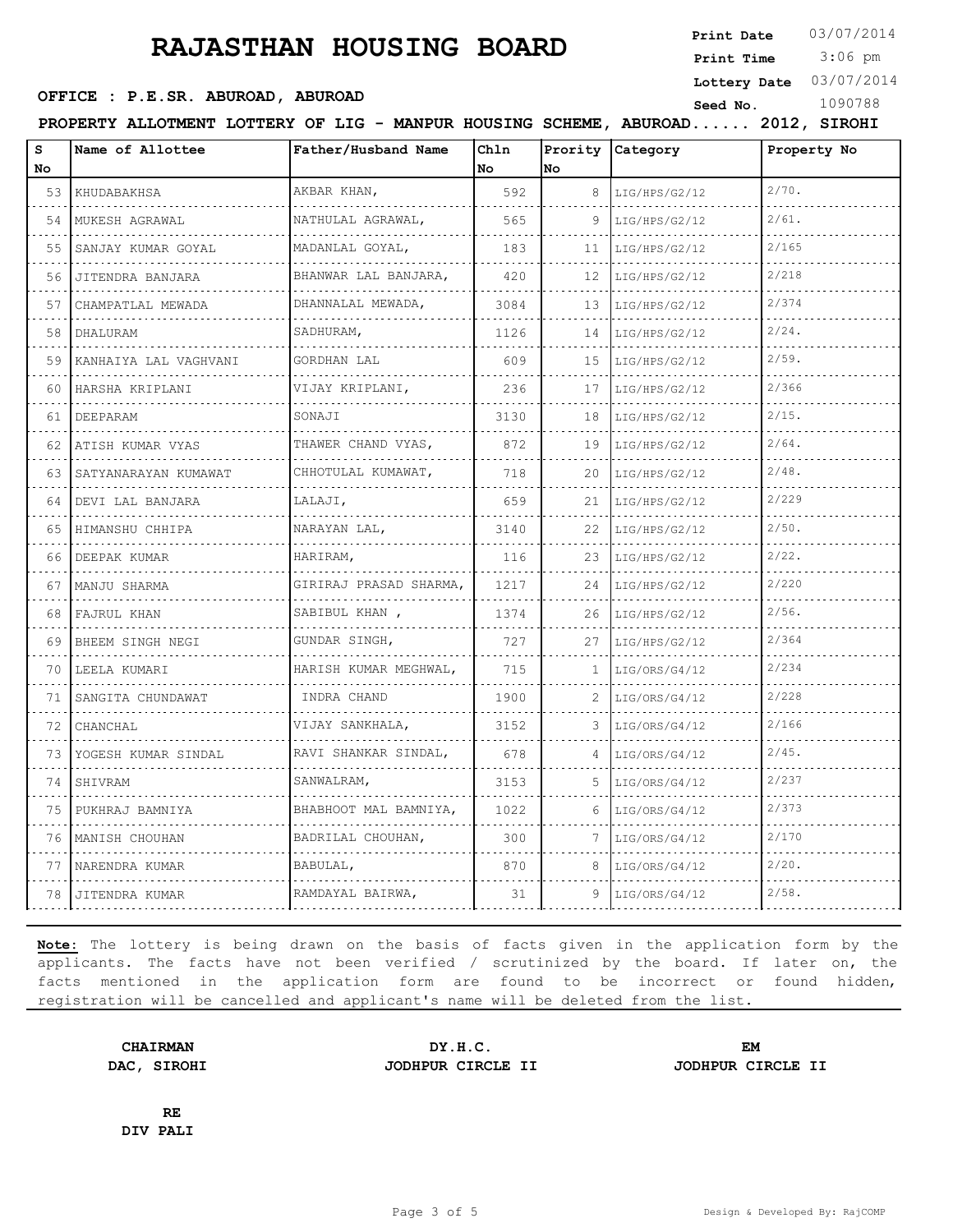**Print Date**  $03/07/2014$ 

 3:06 pm **Print Time**

**Lottery Date** 03/07/2014

## **OFFICE : P.E.SR. ABUROAD, ABUROAD Seed No.** 1090788

**PROPERTY ALLOTMENT LOTTERY OF LIG - MANPUR HOUSING SCHEME, ABUROAD...... 2012, SIROHI**

| s<br>No | Name of Allottee      | Father/Husband Name         | Chln<br>No. | No | Prority Category | Property No |
|---------|-----------------------|-----------------------------|-------------|----|------------------|-------------|
| 53      | KHUDABAKHSA           | AKBAR KHAN,                 | 592         | 8  | LIG/HPS/G2/12    | $2/70$ .    |
| 54      | MUKESH AGRAWAL        | NATHULAL AGRAWAL,           | 565         | 9  | LIG/HPS/G2/12    | $2/61$ .    |
| 55      | SANJAY KUMAR GOYAL    | MADANLAL GOYAL,             | 183         | 11 | LIG/HPS/G2/12    | 2/165       |
| 56      | JITENDRA BANJARA      | BHANWAR LAL BANJARA,        | 420         | 12 | LIG/HPS/G2/12    | 2/218       |
| 57      | CHAMPATLAL MEWADA     | .<br>DHANNALAL MEWADA,      | 3084        | 13 | LIG/HPS/G2/12    | 2/374       |
| 58      | DHALURAM              | SADHURAM,                   | 1126        | 14 | LIG/HPS/G2/12    | $2/24$ .    |
| 59      | KANHAIYA LAL VAGHVANI | GORDHAN LAL                 | 609         | 15 | LIG/HPS/G2/12    | 2/59.       |
| 60      | HARSHA KRIPLANI       | VIJAY KRIPLANI,             | 236         | 17 | LIG/HPS/G2/12    | 2/366       |
| 61      | DEEPARAM              | SONAJI                      | 3130        | 18 | LIG/HPS/G2/12    | $2/15$ .    |
| 62      | ATISH KUMAR VYAS      | THAWER CHAND VYAS,<br>.     | 872         | 19 | LIG/HPS/G2/12    | $2/64$ .    |
| 63      | SATYANARAYAN KUMAWAT  | CHHOTULAL KUMAWAT,          | 718         | 20 | LIG/HPS/G2/12    | $2/48$ .    |
| 64      | DEVI LAL BANJARA      | LALAJI,                     | 659         | 21 | LIG/HPS/G2/12    | 2/229       |
| 65      | HIMANSHU CHHIPA       | NARAYAN LAL,                | 3140        | 22 | LIG/HPS/G2/12    | $2/50$ .    |
| 66      | DEEPAK KUMAR          | HARIRAM,                    | 116         | 23 | LIG/HPS/G2/12    | $2/22$ .    |
| 67      | MANJU SHARMA          | GIRIRAJ PRASAD SHARMA,<br>. | 1217        | 24 | LIG/HPS/G2/12    | 2/220       |
| 68      | FAJRUL KHAN           | SABIBUL KHAN,<br>.          | 1374        | 26 | LIG/HPS/G2/12    | $2/56$ .    |
| 69      | BHEEM SINGH NEGI      | GUNDAR SINGH,               | 727         | 27 | LIG/HPS/G2/12    | 2/364       |
| 70      | LEELA KUMARI<br>.     | HARISH KUMAR MEGHWAL,<br>.  | 715         | 1  | LIG/ORS/G4/12    | 2/234       |
| 71      | SANGITA CHUNDAWAT     | INDRA CHAND                 | 1900        | 2  | LIG/ORS/G4/12    | 2/228       |
| 72      | CHANCHAL              | VIJAY SANKHALA,             | 3152        | 3  | LIG/ORS/G4/12    | 2/166       |
| 73      | YOGESH KUMAR SINDAL   | RAVI SHANKAR SINDAL,<br>.   | 678         | 4  | LIG/ORS/G4/12    | $2/45$ .    |
| 74      | SHIVRAM               | SANWALRAM,                  | 3153        | 5. | LIG/ORS/G4/12    | 2/237       |
| 75      | PUKHRAJ BAMNIYA       | BHABHOOT MAL BAMNIYA,       | 1022        | 6  | LIG/ORS/G4/12    | 2/373       |
| 76      | MANISH CHOUHAN        | BADRILAL CHOUHAN,           | 300         | 7  | LIG/ORS/G4/12    | 2/170       |
| 77      | NARENDRA KUMAR        | BABULAL,                    | 870         | 8  | LIG/ORS/G4/12    | $2/20$ .    |
| 78      | JITENDRA KUMAR        | RAMDAYAL BAIRWA,            | 31          | 9  | LIG/ORS/G4/12    | $2/58$ .    |

**Note:** The lottery is being drawn on the basis of facts given in the application form by the applicants. The facts have not been verified / scrutinized by the board. If later on, the facts mentioned in the application form are found to be incorrect or found hidden, registration will be cancelled and applicant's name will be deleted from the list.

**DAC, SIROHI JODHPUR CIRCLE II JODHPUR CIRCLE II**

**CHAIRMAN DY.H.C. EM**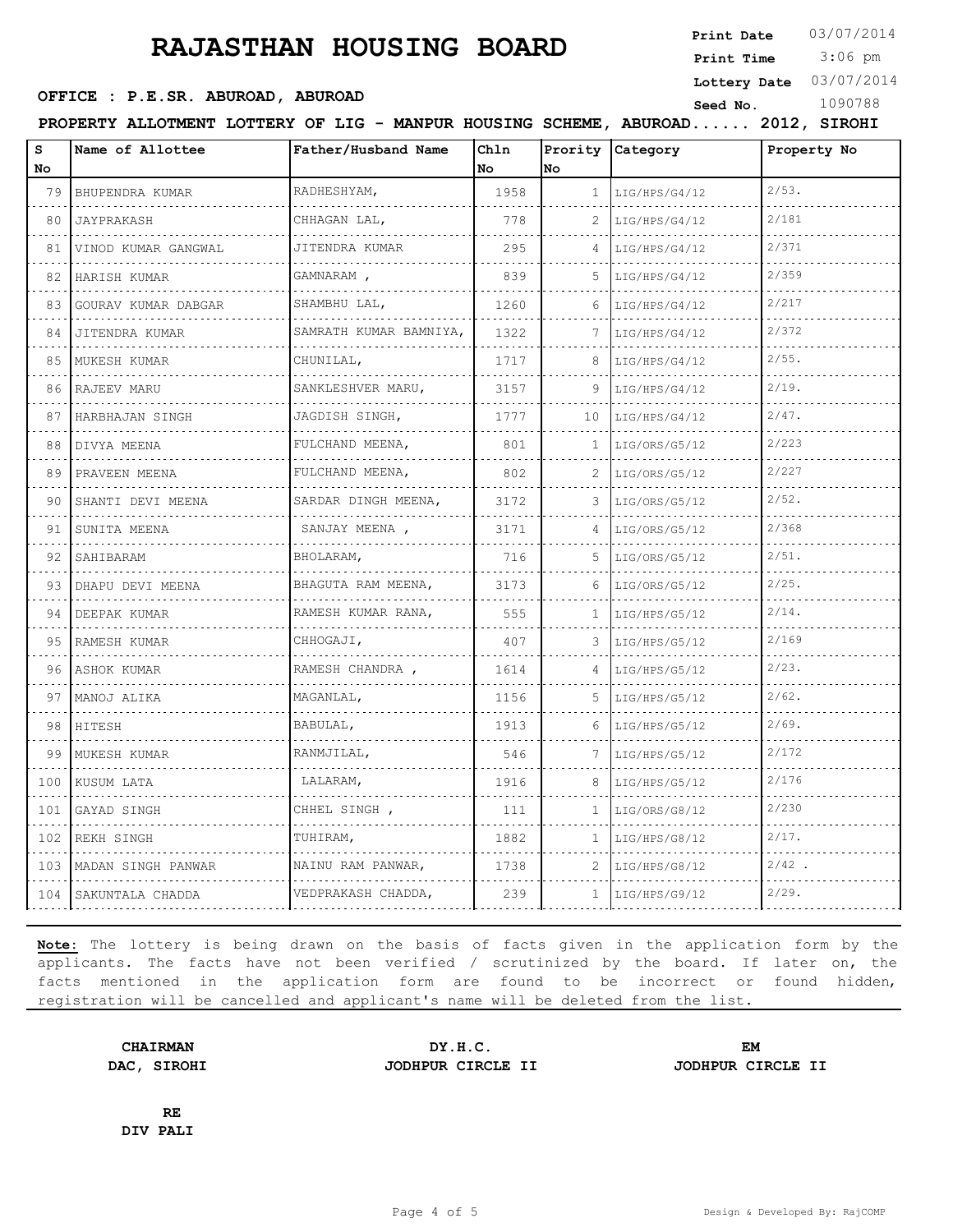**Print Date**  $03/07/2014$ 

 3:06 pm **Print Time**

**Lottery Date** 03/07/2014

## **OFFICE : P.E.SR. ABUROAD, ABUROAD Seed No.** 1090788

**PROPERTY ALLOTMENT LOTTERY OF LIG - MANPUR HOUSING SCHEME, ABUROAD...... 2012, SIROHI**

| s<br>No | Name of Allottee    | Father/Husband Name     | Ch1n<br>No | No           | Prority Category | Property No |
|---------|---------------------|-------------------------|------------|--------------|------------------|-------------|
| 79      | BHUPENDRA KUMAR     | RADHESHYAM,             | 1958       | $\mathbf{1}$ | LIG/HPS/G4/12    | $2/53$ .    |
| 80      | JAYPRAKASH          | CHHAGAN LAL,            | 778        | 2            | LIG/HPS/G4/12    | 2/181       |
| 81      | VINOD KUMAR GANGWAL | JITENDRA KUMAR          | 295        | 4            | LIG/HPS/G4/12    | 2/371       |
| 82      | HARISH KUMAR        | GAMNARAM,               | 839        | 5            | LIG/HPS/G4/12    | 2/359       |
| 83      | GOURAV KUMAR DABGAR | SHAMBHU LAL,            | 1260       | 6            | LIG/HPS/G4/12    | 2/217       |
| 84      | JITENDRA KUMAR      | SAMRATH KUMAR BAMNIYA,  | 1322       |              | LIG/HPS/G4/12    | 2/372       |
| 85      | MUKESH KUMAR        | .<br>CHUNILAL,          | 1717       | 8            | LIG/HPS/G4/12    | $2/55$ .    |
| 86      | RAJEEV MARU         | SANKLESHVER MARU,       | 3157       | 9            | LIG/HPS/G4/12    | 2/19.       |
| 87      | HARBHAJAN SINGH     | JAGDISH SINGH,          | 1777       | 10           | LIG/HPS/G4/12    | $2/47$ .    |
| 88      | DIVYA MEENA         | .<br>FULCHAND MEENA,    | 801        | 1            | LIG/ORS/G5/12    | 2/223       |
| 89      | PRAVEEN MEENA       | FULCHAND MEENA,         | 802        | 2            | LIG/ORS/G5/12    | 2/227       |
| 90      | SHANTI DEVI MEENA   | SARDAR DINGH MEENA,     | 3172       | 3            | LIG/ORS/G5/12    | $2/52$ .    |
| 91      | SUNITA MEENA        | .<br>SANJAY MEENA,      | 3171       | 4            | LIG/ORS/G5/12    | 2/368       |
| 92      | SAHIBARAM           | BHOLARAM,               | 716        | 5.           | LIG/ORS/G5/12    | $2/51$ .    |
| 93      | DHAPU DEVI MEENA    | BHAGUTA RAM MEENA,      | 3173       | 6            | LIG/ORS/G5/12    | $2/25$ .    |
| 94      | .<br>DEEPAK KUMAR   | .<br>RAMESH KUMAR RANA, | 555        | $\mathbf{1}$ | LIG/HPS/G5/12    | $2/14$ .    |
| 95      | RAMESH KUMAR        | CHHOGAJI,               | 407        | 3            | LIG/HPS/G5/12    | 2/169       |
| 96      | ASHOK KUMAR         | RAMESH CHANDRA,         | 1614       | 4            | LIG/HPS/G5/12    | $2/23$ .    |
| 97      | MANOJ ALIKA         | MAGANLAL,               | 1156       | 5            | LIG/HPS/G5/12    | $2/62$ .    |
| 98      | HITESH              | BABULAL,                | 1913       | 6            | LIG/HPS/G5/12    | 2/69.       |
| 99      | MUKESH KUMAR        | RANMJILAL,              | 546        |              | LIG/HPS/G5/12    | 2/172       |
| 100     | KUSUM LATA          | LALARAM,                | 1916       | 8            | LIG/HPS/G5/12    | 2/176       |
| 101     | GAYAD SINGH         | CHHEL SINGH ,           | 111        | 1.           | LIG/ORS/G8/12    | 2/230       |
| 102     | REKH SINGH          | TUHIRAM,                | 1882       | 1            | LIG/HPS/G8/12    | $2/17$ .    |
| 103     | MADAN SINGH PANWAR  | NAINU RAM PANWAR,       | 1738       | 2            | LIG/HPS/G8/12    | 2/42        |
| 104     | SAKUNTALA CHADDA    | VEDPRAKASH CHADDA,      | 239        | 1            | LIG/HPS/G9/12    | 2/29.       |

**Note:** The lottery is being drawn on the basis of facts given in the application form by the applicants. The facts have not been verified / scrutinized by the board. If later on, the facts mentioned in the application form are found to be incorrect or found hidden, registration will be cancelled and applicant's name will be deleted from the list.

**DAC, SIROHI JODHPUR CIRCLE II JODHPUR CIRCLE II**

**CHAIRMAN DY.H.C. EM**